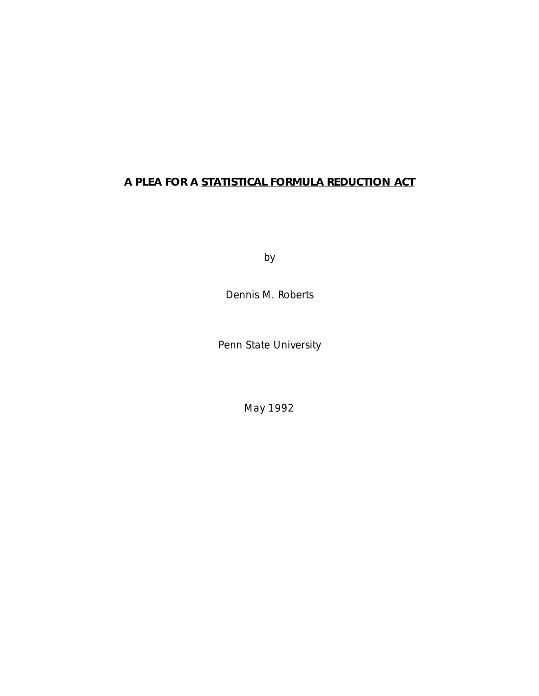## **A PLEA FOR A STATISTICAL FORMULA REDUCTION ACT**

by

Dennis M. Roberts

Penn State University

May 1992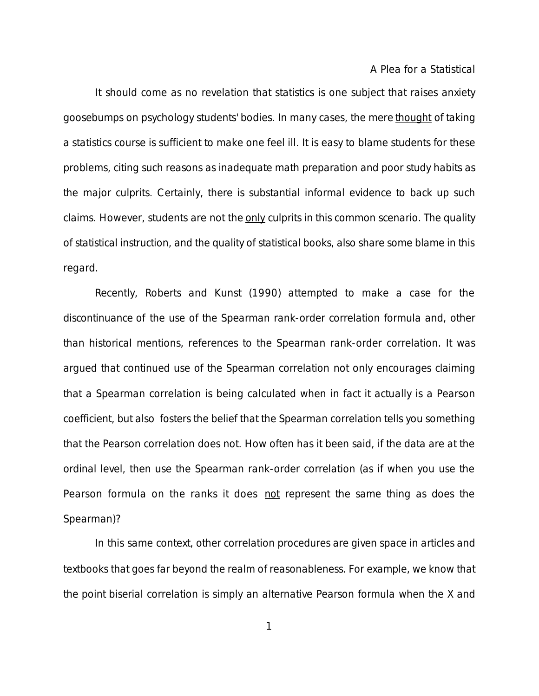It should come as no revelation that statistics is one subject that raises anxiety goosebumps on psychology students' bodies. In many cases, the mere thought of taking a statistics course is sufficient to make one feel ill. It is easy to blame students for these problems, citing such reasons as inadequate math preparation and poor study habits as the major culprits. Certainly, there is substantial informal evidence to back up such claims. However, students are not the only culprits in this common scenario. The quality of statistical instruction, and the quality of statistical books, also share some blame in this regard.

Recently, Roberts and Kunst (1990) attempted to make a case for the discontinuance of the use of the Spearman rank-order correlation formula and, other than historical mentions, references to the Spearman rank-order correlation. It was argued that continued use of the Spearman correlation not only encourages claiming that a Spearman correlation is being calculated when in fact it actually is a Pearson coefficient, but also fosters the belief that the Spearman correlation tells you something that the Pearson correlation does not. How often has it been said, if the data are at the ordinal level, then use the Spearman rank-order correlation (as if when you use the Pearson formula on the ranks it does not represent the same thing as does the Spearman)?

In this same context, other correlation procedures are given space in articles and textbooks that goes far beyond the realm of reasonableness. For example, we know that the point biserial correlation is simply an alternative Pearson formula when the X and

1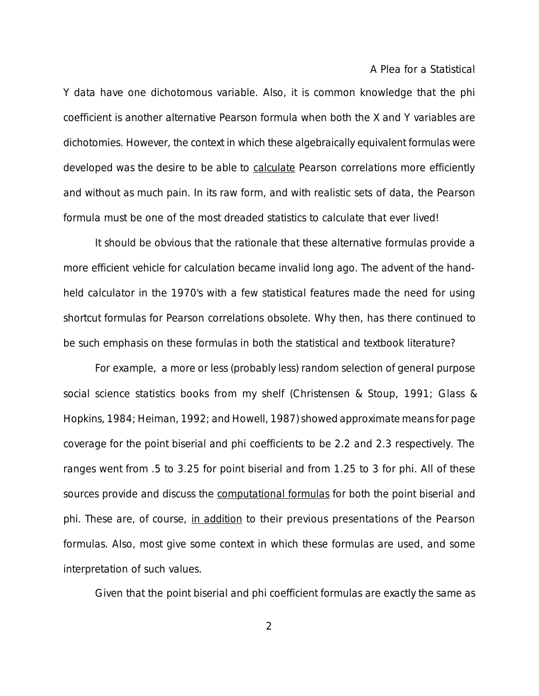Y data have one dichotomous variable. Also, it is common knowledge that the phi coefficient is another alternative Pearson formula when both the X and Y variables are dichotomies. However, the context in which these algebraically equivalent formulas were developed was the desire to be able to calculate Pearson correlations more efficiently and without as much pain. In its raw form, and with realistic sets of data, the Pearson formula must be one of the most dreaded statistics to calculate that ever lived!

It should be obvious that the rationale that these alternative formulas provide a more efficient vehicle for calculation became invalid long ago. The advent of the handheld calculator in the 1970's with a few statistical features made the need for using shortcut formulas for Pearson correlations obsolete. Why then, has there continued to be such emphasis on these formulas in both the statistical and textbook literature?

For example, a more or less (probably less) random selection of general purpose social science statistics books from my shelf (Christensen & Stoup, 1991; Glass & Hopkins, 1984; Heiman, 1992; and Howell, 1987) showed approximate means for page coverage for the point biserial and phi coefficients to be 2.2 and 2.3 respectively. The ranges went from .5 to 3.25 for point biserial and from 1.25 to 3 for phi. All of these sources provide and discuss the computational formulas for both the point biserial and phi. These are, of course, in addition to their previous presentations of the Pearson formulas. Also, most give some context in which these formulas are used, and some interpretation of such values.

Given that the point biserial and phi coefficient formulas are exactly the same as

2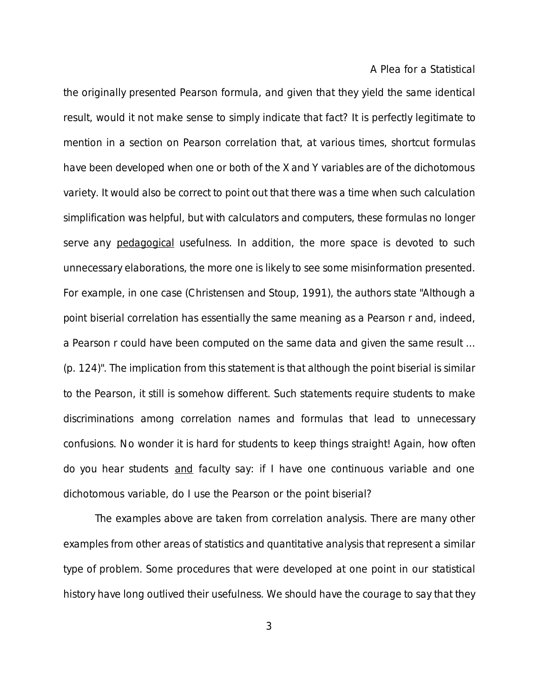the originally presented Pearson formula, and given that they yield the same identical result, would it not make sense to simply indicate that fact? It is perfectly legitimate to mention in a section on Pearson correlation that, at various times, shortcut formulas have been developed when one or both of the X and Y variables are of the dichotomous variety. It would also be correct to point out that there was a time when such calculation simplification was helpful, but with calculators and computers, these formulas no longer serve any pedagogical usefulness. In addition, the more space is devoted to such unnecessary elaborations, the more one is likely to see some misinformation presented. For example, in one case (Christensen and Stoup, 1991), the authors state "Although a point biserial correlation has essentially the same meaning as a Pearson r and, indeed, a Pearson r could have been computed on the same data and given the same result ... (p. 124)". The implication from this statement is that although the point biserial is similar to the Pearson, it still is somehow different. Such statements require students to make discriminations among correlation names and formulas that lead to unnecessary confusions. No wonder it is hard for students to keep things straight! Again, how often do you hear students and faculty say: if I have one continuous variable and one dichotomous variable, do I use the Pearson or the point biserial?

The examples above are taken from correlation analysis. There are many other examples from other areas of statistics and quantitative analysis that represent a similar type of problem. Some procedures that were developed at one point in our statistical history have long outlived their usefulness. We should have the courage to say that they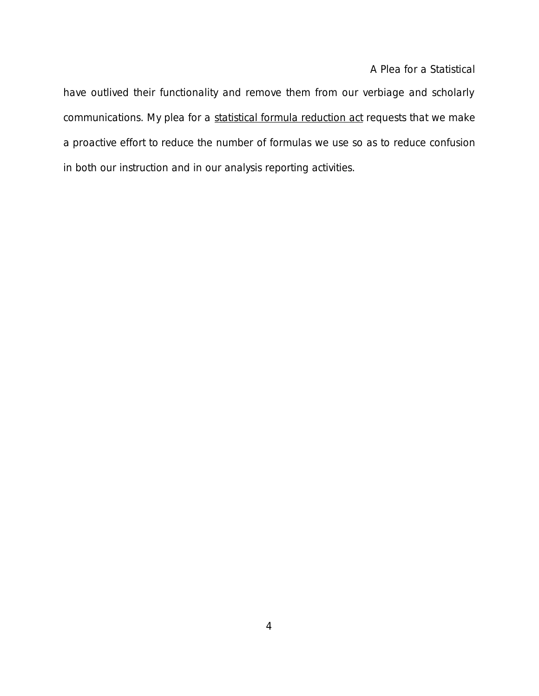have outlived their functionality and remove them from our verbiage and scholarly communications. My plea for a statistical formula reduction act requests that we make a proactive effort to reduce the number of formulas we use so as to reduce confusion in both our instruction and in our analysis reporting activities.